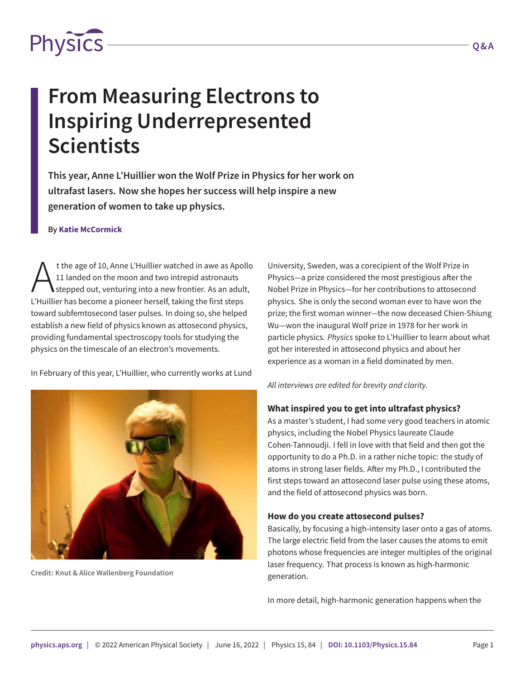

# **From Measuring Electrons to Inspiring Underrepresented Scientists**

**This year, Anne L'Huillier won the Wolf Prize in Physics for her work on ultrafast lasers. Now she hopes her success will help inspire a new generation of women to take up physics.**

#### **By Katie McCormick**

t the age of 10, Anne L'Huillier watched in awe as Apo<br>11 landed on the moon and two intrepid astronauts<br>L'Huillier has become a pioneer herself, taking the first steps t the age of 10, Anne L'Huillier watched in awe as Apollo 11 landed on the moon and two intrepid astronauts stepped out, venturing into a new frontier. As an adult, toward subfemtosecond laser pulses. In doing so, she helped establish a new field of physics known as attosecond physics, providing fundamental spectroscopy tools for studying the physics on the timescale of an electron's movements.

In February of this year, L'Huillier, who currently works at Lund



**Credit: Knut & Alice Wallenberg Foundation**

University, Sweden, was a corecipient of the Wolf Prize in Physics—a prize considered the most prestigious after the Nobel Prize in Physics—for her contributions to attosecond physics. She is only the second woman ever to have won the prize; the first woman winner—the now deceased Chien-Shiung Wu—won the inaugural Wolf prize in 1978 for her work in particle physics. *Physics* spoke to L'Huillier to learn about what got her interested in attosecond physics and about her experience as a woman in a field dominated by men.

*All interviews are edited for brevity and clarity.*

#### **What inspired you to get into ultrafast physics?**

As a master's student, I had some very good teachers in atomic physics, including the Nobel Physics laureate Claude Cohen-Tannoudji. I fell in love with that field and then got the opportunity to do a Ph.D. in a rather niche topic: the study of atoms in strong laser fields. After my Ph.D., I contributed the first steps toward an attosecond laser pulse using these atoms, and the field of attosecond physics was born.

#### **How do you create attosecond pulses?**

Basically, by focusing a high-intensity laser onto a gas of atoms. The large electric field from the laser causes the atoms to emit photons whose frequencies are integer multiples of the original laser frequency. That process is known as high-harmonic generation.

In more detail, high-harmonic generation happens when the